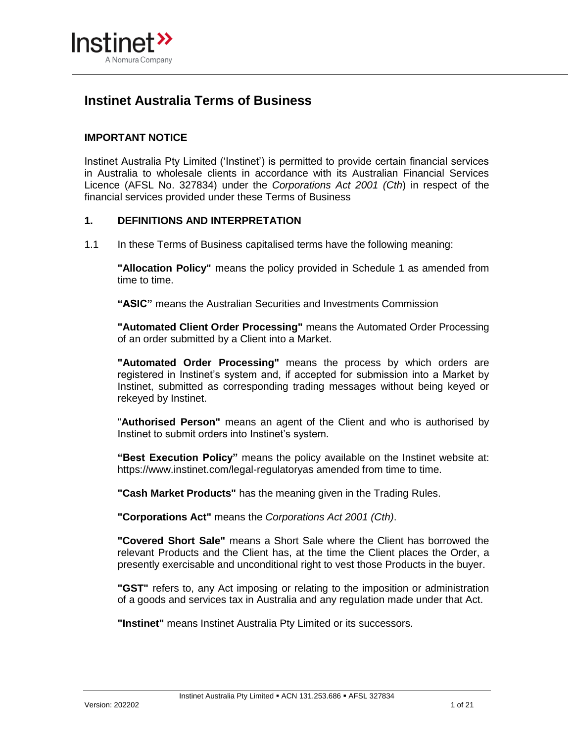

# **Instinet Australia Terms of Business**

# **IMPORTANT NOTICE**

Instinet Australia Pty Limited ('Instinet') is permitted to provide certain financial services in Australia to wholesale clients in accordance with its Australian Financial Services Licence (AFSL No. 327834) under the *Corporations Act 2001 (Cth*) in respect of the financial services provided under these Terms of Business

#### **1. DEFINITIONS AND INTERPRETATION**

1.1 In these Terms of Business capitalised terms have the following meaning:

**"Allocation Policy"** means the policy provided in Schedule 1 as amended from time to time.

**"ASIC"** means the Australian Securities and Investments Commission

**"Automated Client Order Processing"** means the Automated Order Processing of an order submitted by a Client into a Market.

**"Automated Order Processing"** means the process by which orders are registered in Instinet's system and, if accepted for submission into a Market by Instinet, submitted as corresponding trading messages without being keyed or rekeyed by Instinet.

"**Authorised Person"** means an agent of the Client and who is authorised by Instinet to submit orders into Instinet's system.

**"Best Execution Policy"** means the policy available on the Instinet website at: https://www.instinet.com/legal-regulatoryas amended from time to time.

**"Cash Market Products"** has the meaning given in the Trading Rules.

**"Corporations Act"** means the *Corporations Act 2001 (Cth)*.

**"Covered Short Sale"** means a Short Sale where the Client has borrowed the relevant Products and the Client has, at the time the Client places the Order, a presently exercisable and unconditional right to vest those Products in the buyer.

**"GST"** refers to, any Act imposing or relating to the imposition or administration of a goods and services tax in Australia and any regulation made under that Act.

**"Instinet"** means Instinet Australia Pty Limited or its successors.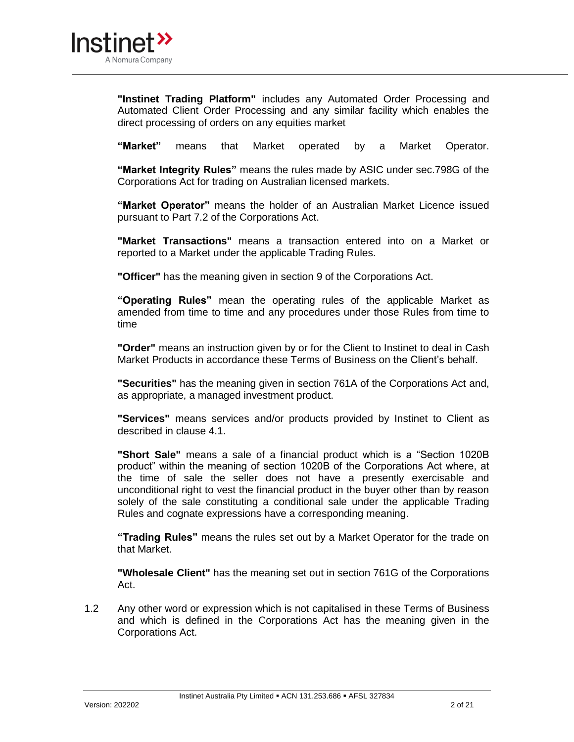

**"Instinet Trading Platform"** includes any Automated Order Processing and Automated Client Order Processing and any similar facility which enables the direct processing of orders on any equities market

**"Market"** means that Market operated by a Market Operator.

**"Market Integrity Rules"** means the rules made by ASIC under sec.798G of the Corporations Act for trading on Australian licensed markets.

**"Market Operator"** means the holder of an Australian Market Licence issued pursuant to Part 7.2 of the Corporations Act.

**"Market Transactions"** means a transaction entered into on a Market or reported to a Market under the applicable Trading Rules.

**"Officer"** has the meaning given in section 9 of the Corporations Act.

**"Operating Rules"** mean the operating rules of the applicable Market as amended from time to time and any procedures under those Rules from time to time

**"Order"** means an instruction given by or for the Client to Instinet to deal in Cash Market Products in accordance these Terms of Business on the Client's behalf.

**"Securities"** has the meaning given in section 761A of the Corporations Act and, as appropriate, a managed investment product.

**"Services"** means services and/or products provided by Instinet to Client as described in clause 4.1.

**"Short Sale"** means a sale of a financial product which is a "Section 1020B product" within the meaning of section 1020B of the Corporations Act where, at the time of sale the seller does not have a presently exercisable and unconditional right to vest the financial product in the buyer other than by reason solely of the sale constituting a conditional sale under the applicable Trading Rules and cognate expressions have a corresponding meaning.

**"Trading Rules"** means the rules set out by a Market Operator for the trade on that Market.

**"Wholesale Client"** has the meaning set out in section 761G of the Corporations Act.

1.2 Any other word or expression which is not capitalised in these Terms of Business and which is defined in the Corporations Act has the meaning given in the Corporations Act.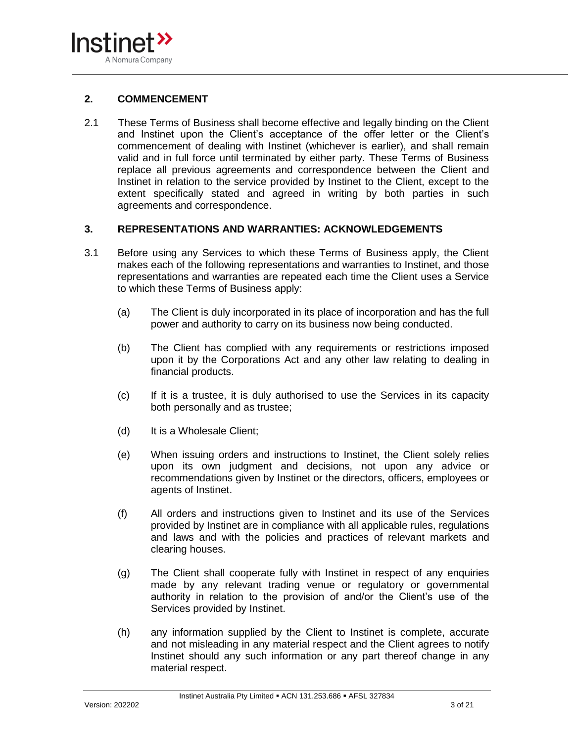

### **2. COMMENCEMENT**

2.1 These Terms of Business shall become effective and legally binding on the Client and Instinet upon the Client's acceptance of the offer letter or the Client's commencement of dealing with Instinet (whichever is earlier), and shall remain valid and in full force until terminated by either party. These Terms of Business replace all previous agreements and correspondence between the Client and Instinet in relation to the service provided by Instinet to the Client, except to the extent specifically stated and agreed in writing by both parties in such agreements and correspondence.

### **3. REPRESENTATIONS AND WARRANTIES: ACKNOWLEDGEMENTS**

- 3.1 Before using any Services to which these Terms of Business apply, the Client makes each of the following representations and warranties to Instinet, and those representations and warranties are repeated each time the Client uses a Service to which these Terms of Business apply:
	- (a) The Client is duly incorporated in its place of incorporation and has the full power and authority to carry on its business now being conducted.
	- (b) The Client has complied with any requirements or restrictions imposed upon it by the Corporations Act and any other law relating to dealing in financial products.
	- (c) If it is a trustee, it is duly authorised to use the Services in its capacity both personally and as trustee;
	- (d) It is a Wholesale Client;
	- (e) When issuing orders and instructions to Instinet, the Client solely relies upon its own judgment and decisions, not upon any advice or recommendations given by Instinet or the directors, officers, employees or agents of Instinet.
	- (f) All orders and instructions given to Instinet and its use of the Services provided by Instinet are in compliance with all applicable rules, regulations and laws and with the policies and practices of relevant markets and clearing houses.
	- (g) The Client shall cooperate fully with Instinet in respect of any enquiries made by any relevant trading venue or regulatory or governmental authority in relation to the provision of and/or the Client's use of the Services provided by Instinet.
	- (h) any information supplied by the Client to Instinet is complete, accurate and not misleading in any material respect and the Client agrees to notify Instinet should any such information or any part thereof change in any material respect.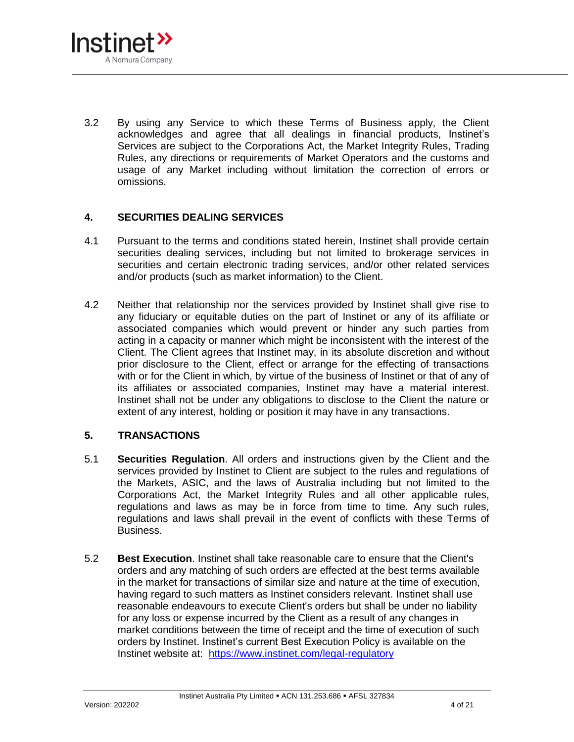

3.2 By using any Service to which these Terms of Business apply, the Client acknowledges and agree that all dealings in financial products, Instinet's Services are subject to the Corporations Act, the Market Integrity Rules, Trading Rules, any directions or requirements of Market Operators and the customs and usage of any Market including without limitation the correction of errors or omissions.

# **4. SECURITIES DEALING SERVICES**

- 4.1 Pursuant to the terms and conditions stated herein, Instinet shall provide certain securities dealing services, including but not limited to brokerage services in securities and certain electronic trading services, and/or other related services and/or products (such as market information) to the Client.
- 4.2 Neither that relationship nor the services provided by Instinet shall give rise to any fiduciary or equitable duties on the part of Instinet or any of its affiliate or associated companies which would prevent or hinder any such parties from acting in a capacity or manner which might be inconsistent with the interest of the Client. The Client agrees that Instinet may, in its absolute discretion and without prior disclosure to the Client, effect or arrange for the effecting of transactions with or for the Client in which, by virtue of the business of Instinet or that of any of its affiliates or associated companies, Instinet may have a material interest. Instinet shall not be under any obligations to disclose to the Client the nature or extent of any interest, holding or position it may have in any transactions.

# **5. TRANSACTIONS**

- 5.1 **Securities Regulation**. All orders and instructions given by the Client and the services provided by Instinet to Client are subject to the rules and regulations of the Markets, ASIC, and the laws of Australia including but not limited to the Corporations Act, the Market Integrity Rules and all other applicable rules, regulations and laws as may be in force from time to time. Any such rules, regulations and laws shall prevail in the event of conflicts with these Terms of Business.
- 5.2 **Best Execution**. Instinet shall take reasonable care to ensure that the Client's orders and any matching of such orders are effected at the best terms available in the market for transactions of similar size and nature at the time of execution, having regard to such matters as Instinet considers relevant. Instinet shall use reasonable endeavours to execute Client's orders but shall be under no liability for any loss or expense incurred by the Client as a result of any changes in market conditions between the time of receipt and the time of execution of such orders by Instinet. Instinet's current Best Execution Policy is available on the Instinet website at: <https://www.instinet.com/legal-regulatory>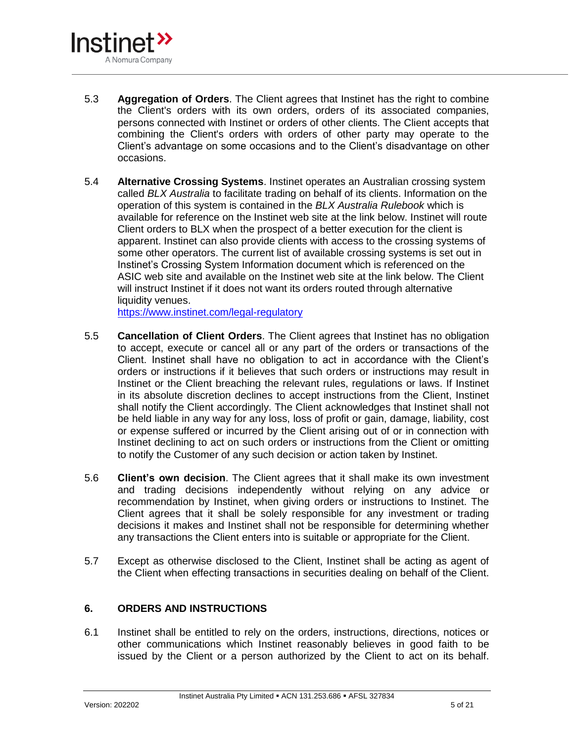

- 5.3 **Aggregation of Orders**. The Client agrees that Instinet has the right to combine the Client's orders with its own orders, orders of its associated companies, persons connected with Instinet or orders of other clients. The Client accepts that combining the Client's orders with orders of other party may operate to the Client's advantage on some occasions and to the Client's disadvantage on other occasions.
- 5.4 **Alternative Crossing Systems**. Instinet operates an Australian crossing system called *BLX Australia* to facilitate trading on behalf of its clients. Information on the operation of this system is contained in the *BLX Australia Rulebook* which is available for reference on the Instinet web site at the link below. Instinet will route Client orders to BLX when the prospect of a better execution for the client is apparent. Instinet can also provide clients with access to the crossing systems of some other operators. The current list of available crossing systems is set out in Instinet's Crossing System Information document which is referenced on the ASIC web site and available on the Instinet web site at the link below. The Client will instruct Instinet if it does not want its orders routed through alternative liquidity venues.

<https://www.instinet.com/legal-regulatory>

- 5.5 **Cancellation of Client Orders**. The Client agrees that Instinet has no obligation to accept, execute or cancel all or any part of the orders or transactions of the Client. Instinet shall have no obligation to act in accordance with the Client's orders or instructions if it believes that such orders or instructions may result in Instinet or the Client breaching the relevant rules, regulations or laws. If Instinet in its absolute discretion declines to accept instructions from the Client, Instinet shall notify the Client accordingly. The Client acknowledges that Instinet shall not be held liable in any way for any loss, loss of profit or gain, damage, liability, cost or expense suffered or incurred by the Client arising out of or in connection with Instinet declining to act on such orders or instructions from the Client or omitting to notify the Customer of any such decision or action taken by Instinet.
- 5.6 **Client's own decision**. The Client agrees that it shall make its own investment and trading decisions independently without relying on any advice or recommendation by Instinet, when giving orders or instructions to Instinet. The Client agrees that it shall be solely responsible for any investment or trading decisions it makes and Instinet shall not be responsible for determining whether any transactions the Client enters into is suitable or appropriate for the Client.
- 5.7 Except as otherwise disclosed to the Client, Instinet shall be acting as agent of the Client when effecting transactions in securities dealing on behalf of the Client.

# **6. ORDERS AND INSTRUCTIONS**

6.1 Instinet shall be entitled to rely on the orders, instructions, directions, notices or other communications which Instinet reasonably believes in good faith to be issued by the Client or a person authorized by the Client to act on its behalf.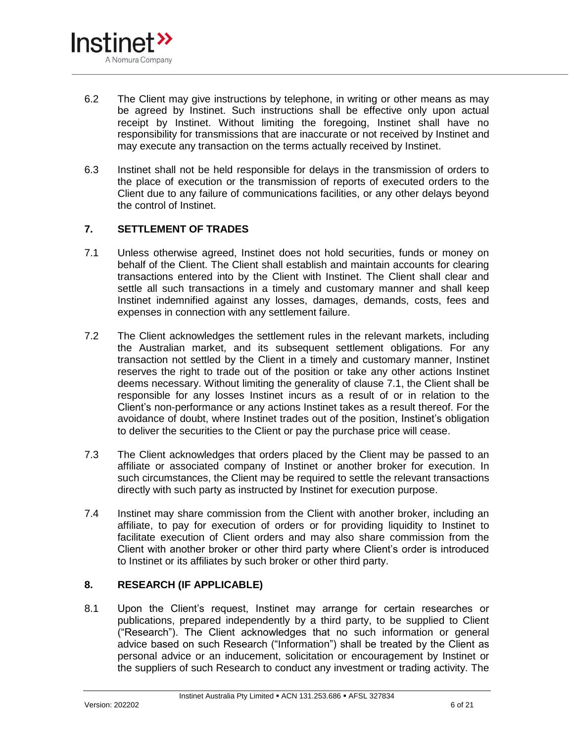

- 6.2 The Client may give instructions by telephone, in writing or other means as may be agreed by Instinet. Such instructions shall be effective only upon actual receipt by Instinet. Without limiting the foregoing, Instinet shall have no responsibility for transmissions that are inaccurate or not received by Instinet and may execute any transaction on the terms actually received by Instinet.
- 6.3 Instinet shall not be held responsible for delays in the transmission of orders to the place of execution or the transmission of reports of executed orders to the Client due to any failure of communications facilities, or any other delays beyond the control of Instinet.

# **7. SETTLEMENT OF TRADES**

- 7.1 Unless otherwise agreed, Instinet does not hold securities, funds or money on behalf of the Client. The Client shall establish and maintain accounts for clearing transactions entered into by the Client with Instinet. The Client shall clear and settle all such transactions in a timely and customary manner and shall keep Instinet indemnified against any losses, damages, demands, costs, fees and expenses in connection with any settlement failure.
- 7.2 The Client acknowledges the settlement rules in the relevant markets, including the Australian market, and its subsequent settlement obligations. For any transaction not settled by the Client in a timely and customary manner, Instinet reserves the right to trade out of the position or take any other actions Instinet deems necessary. Without limiting the generality of clause 7.1, the Client shall be responsible for any losses Instinet incurs as a result of or in relation to the Client's non-performance or any actions Instinet takes as a result thereof. For the avoidance of doubt, where Instinet trades out of the position, Instinet's obligation to deliver the securities to the Client or pay the purchase price will cease.
- 7.3 The Client acknowledges that orders placed by the Client may be passed to an affiliate or associated company of Instinet or another broker for execution. In such circumstances, the Client may be required to settle the relevant transactions directly with such party as instructed by Instinet for execution purpose.
- 7.4 Instinet may share commission from the Client with another broker, including an affiliate, to pay for execution of orders or for providing liquidity to Instinet to facilitate execution of Client orders and may also share commission from the Client with another broker or other third party where Client's order is introduced to Instinet or its affiliates by such broker or other third party.

# **8. RESEARCH (IF APPLICABLE)**

8.1 Upon the Client's request, Instinet may arrange for certain researches or publications, prepared independently by a third party, to be supplied to Client ("Research"). The Client acknowledges that no such information or general advice based on such Research ("Information") shall be treated by the Client as personal advice or an inducement, solicitation or encouragement by Instinet or the suppliers of such Research to conduct any investment or trading activity. The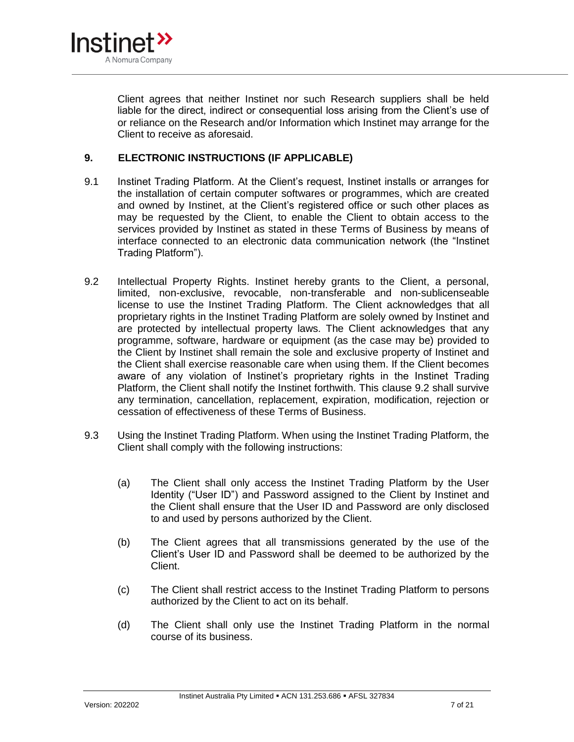

Client agrees that neither Instinet nor such Research suppliers shall be held liable for the direct, indirect or consequential loss arising from the Client's use of or reliance on the Research and/or Information which Instinet may arrange for the Client to receive as aforesaid.

#### **9. ELECTRONIC INSTRUCTIONS (IF APPLICABLE)**

- 9.1 Instinet Trading Platform. At the Client's request, Instinet installs or arranges for the installation of certain computer softwares or programmes, which are created and owned by Instinet, at the Client's registered office or such other places as may be requested by the Client, to enable the Client to obtain access to the services provided by Instinet as stated in these Terms of Business by means of interface connected to an electronic data communication network (the "Instinet Trading Platform").
- <span id="page-6-0"></span>9.2 Intellectual Property Rights. Instinet hereby grants to the Client, a personal, limited, non-exclusive, revocable, non-transferable and non-sublicenseable license to use the Instinet Trading Platform. The Client acknowledges that all proprietary rights in the Instinet Trading Platform are solely owned by Instinet and are protected by intellectual property laws. The Client acknowledges that any programme, software, hardware or equipment (as the case may be) provided to the Client by Instinet shall remain the sole and exclusive property of Instinet and the Client shall exercise reasonable care when using them. If the Client becomes aware of any violation of Instinet's proprietary rights in the Instinet Trading Platform, the Client shall notify the Instinet forthwith. This clause [9.2](#page-6-0) shall survive any termination, cancellation, replacement, expiration, modification, rejection or cessation of effectiveness of these Terms of Business.
- 9.3 Using the Instinet Trading Platform. When using the Instinet Trading Platform, the Client shall comply with the following instructions:
	- (a) The Client shall only access the Instinet Trading Platform by the User Identity ("User ID") and Password assigned to the Client by Instinet and the Client shall ensure that the User ID and Password are only disclosed to and used by persons authorized by the Client.
	- (b) The Client agrees that all transmissions generated by the use of the Client's User ID and Password shall be deemed to be authorized by the Client.
	- (c) The Client shall restrict access to the Instinet Trading Platform to persons authorized by the Client to act on its behalf.
	- (d) The Client shall only use the Instinet Trading Platform in the normal course of its business.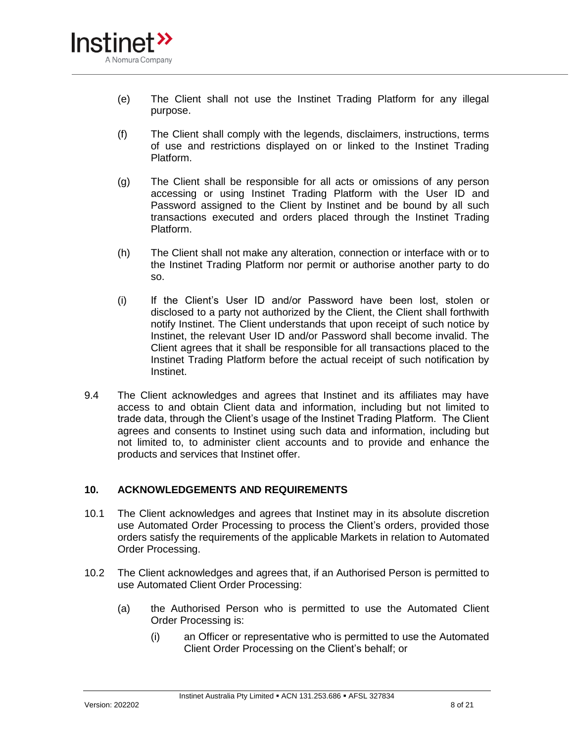

- (e) The Client shall not use the Instinet Trading Platform for any illegal purpose.
- (f) The Client shall comply with the legends, disclaimers, instructions, terms of use and restrictions displayed on or linked to the Instinet Trading Platform.
- (g) The Client shall be responsible for all acts or omissions of any person accessing or using Instinet Trading Platform with the User ID and Password assigned to the Client by Instinet and be bound by all such transactions executed and orders placed through the Instinet Trading Platform.
- (h) The Client shall not make any alteration, connection or interface with or to the Instinet Trading Platform nor permit or authorise another party to do so.
- (i) If the Client's User ID and/or Password have been lost, stolen or disclosed to a party not authorized by the Client, the Client shall forthwith notify Instinet. The Client understands that upon receipt of such notice by Instinet, the relevant User ID and/or Password shall become invalid. The Client agrees that it shall be responsible for all transactions placed to the Instinet Trading Platform before the actual receipt of such notification by Instinet.
- 9.4 The Client acknowledges and agrees that Instinet and its affiliates may have access to and obtain Client data and information, including but not limited to trade data, through the Client's usage of the Instinet Trading Platform. The Client agrees and consents to Instinet using such data and information, including but not limited to, to administer client accounts and to provide and enhance the products and services that Instinet offer.

#### **10. ACKNOWLEDGEMENTS AND REQUIREMENTS**

- 10.1 The Client acknowledges and agrees that Instinet may in its absolute discretion use Automated Order Processing to process the Client's orders, provided those orders satisfy the requirements of the applicable Markets in relation to Automated Order Processing.
- <span id="page-7-0"></span>10.2 The Client acknowledges and agrees that, if an Authorised Person is permitted to use Automated Client Order Processing:
	- (a) the Authorised Person who is permitted to use the Automated Client Order Processing is:
		- (i) an Officer or representative who is permitted to use the Automated Client Order Processing on the Client's behalf; or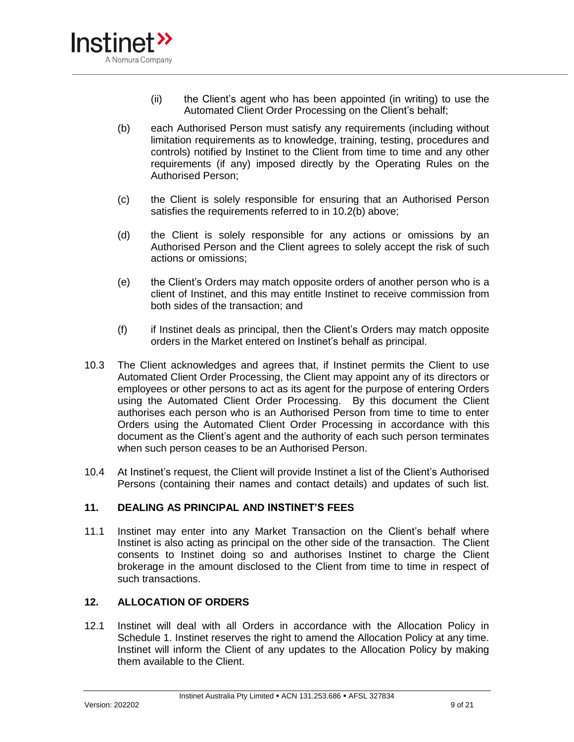

- (ii) the Client's agent who has been appointed (in writing) to use the Automated Client Order Processing on the Client's behalf;
- <span id="page-8-0"></span>(b) each Authorised Person must satisfy any requirements (including without limitation requirements as to knowledge, training, testing, procedures and controls) notified by Instinet to the Client from time to time and any other requirements (if any) imposed directly by the Operating Rules on the Authorised Person;
- (c) the Client is solely responsible for ensuring that an Authorised Person satisfies the requirements referred to in [10.2](#page-7-0)[\(b\)](#page-8-0) above;
- (d) the Client is solely responsible for any actions or omissions by an Authorised Person and the Client agrees to solely accept the risk of such actions or omissions;
- (e) the Client's Orders may match opposite orders of another person who is a client of Instinet, and this may entitle Instinet to receive commission from both sides of the transaction; and
- (f) if Instinet deals as principal, then the Client's Orders may match opposite orders in the Market entered on Instinet's behalf as principal.
- 10.3 The Client acknowledges and agrees that, if Instinet permits the Client to use Automated Client Order Processing, the Client may appoint any of its directors or employees or other persons to act as its agent for the purpose of entering Orders using the Automated Client Order Processing. By this document the Client authorises each person who is an Authorised Person from time to time to enter Orders using the Automated Client Order Processing in accordance with this document as the Client's agent and the authority of each such person terminates when such person ceases to be an Authorised Person.
- 10.4 At Instinet's request, the Client will provide Instinet a list of the Client's Authorised Persons (containing their names and contact details) and updates of such list.

# **11. DEALING AS PRINCIPAL AND INSTINET'S FEES**

11.1 Instinet may enter into any Market Transaction on the Client's behalf where Instinet is also acting as principal on the other side of the transaction. The Client consents to Instinet doing so and authorises Instinet to charge the Client brokerage in the amount disclosed to the Client from time to time in respect of such transactions.

# **12. ALLOCATION OF ORDERS**

12.1 Instinet will deal with all Orders in accordance with the Allocation Policy in Schedule 1. Instinet reserves the right to amend the Allocation Policy at any time. Instinet will inform the Client of any updates to the Allocation Policy by making them available to the Client.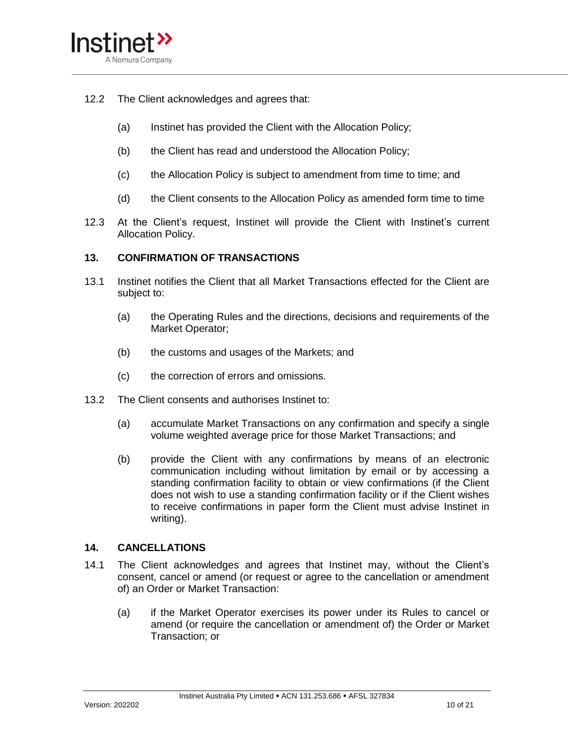

- 12.2 The Client acknowledges and agrees that:
	- (a) Instinet has provided the Client with the Allocation Policy;
	- (b) the Client has read and understood the Allocation Policy;
	- (c) the Allocation Policy is subject to amendment from time to time; and
	- (d) the Client consents to the Allocation Policy as amended form time to time
- 12.3 At the Client's request, Instinet will provide the Client with Instinet's current Allocation Policy.

#### **13. CONFIRMATION OF TRANSACTIONS**

- 13.1 Instinet notifies the Client that all Market Transactions effected for the Client are subject to:
	- (a) the Operating Rules and the directions, decisions and requirements of the Market Operator;
	- (b) the customs and usages of the Markets; and
	- (c) the correction of errors and omissions.
- 13.2 The Client consents and authorises Instinet to:
	- (a) accumulate Market Transactions on any confirmation and specify a single volume weighted average price for those Market Transactions; and
	- (b) provide the Client with any confirmations by means of an electronic communication including without limitation by email or by accessing a standing confirmation facility to obtain or view confirmations (if the Client does not wish to use a standing confirmation facility or if the Client wishes to receive confirmations in paper form the Client must advise Instinet in writing).

#### **14. CANCELLATIONS**

- 14.1 The Client acknowledges and agrees that Instinet may, without the Client's consent, cancel or amend (or request or agree to the cancellation or amendment of) an Order or Market Transaction:
	- (a) if the Market Operator exercises its power under its Rules to cancel or amend (or require the cancellation or amendment of) the Order or Market Transaction; or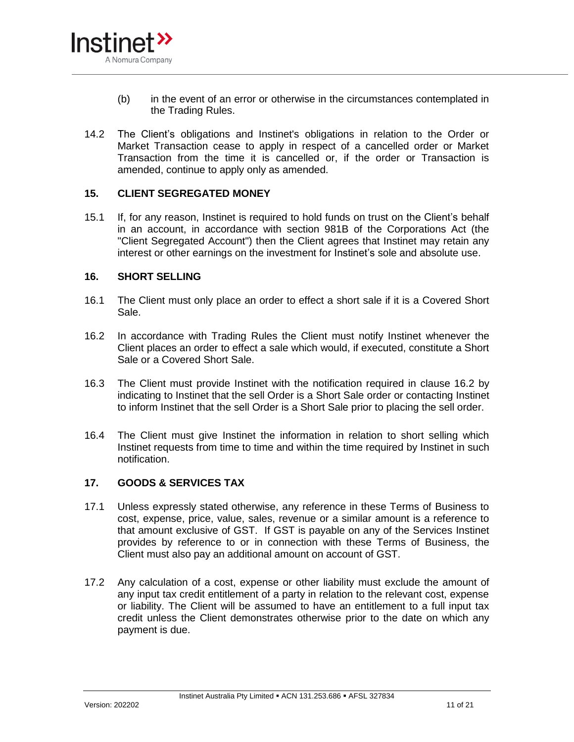

- (b) in the event of an error or otherwise in the circumstances contemplated in the Trading Rules.
- 14.2 The Client's obligations and Instinet's obligations in relation to the Order or Market Transaction cease to apply in respect of a cancelled order or Market Transaction from the time it is cancelled or, if the order or Transaction is amended, continue to apply only as amended.

#### **15. CLIENT SEGREGATED MONEY**

15.1 If, for any reason, Instinet is required to hold funds on trust on the Client's behalf in an account, in accordance with section 981B of the Corporations Act (the "Client Segregated Account") then the Client agrees that Instinet may retain any interest or other earnings on the investment for Instinet's sole and absolute use.

#### **16. SHORT SELLING**

- 16.1 The Client must only place an order to effect a short sale if it is a Covered Short Sale.
- <span id="page-10-0"></span>16.2 In accordance with Trading Rules the Client must notify Instinet whenever the Client places an order to effect a sale which would, if executed, constitute a Short Sale or a Covered Short Sale.
- 16.3 The Client must provide Instinet with the notification required in clause [16.2](#page-10-0) by indicating to Instinet that the sell Order is a Short Sale order or contacting Instinet to inform Instinet that the sell Order is a Short Sale prior to placing the sell order.
- 16.4 The Client must give Instinet the information in relation to short selling which Instinet requests from time to time and within the time required by Instinet in such notification.

# **17. GOODS & SERVICES TAX**

- 17.1 Unless expressly stated otherwise, any reference in these Terms of Business to cost, expense, price, value, sales, revenue or a similar amount is a reference to that amount exclusive of GST. If GST is payable on any of the Services Instinet provides by reference to or in connection with these Terms of Business, the Client must also pay an additional amount on account of GST.
- 17.2 Any calculation of a cost, expense or other liability must exclude the amount of any input tax credit entitlement of a party in relation to the relevant cost, expense or liability. The Client will be assumed to have an entitlement to a full input tax credit unless the Client demonstrates otherwise prior to the date on which any payment is due.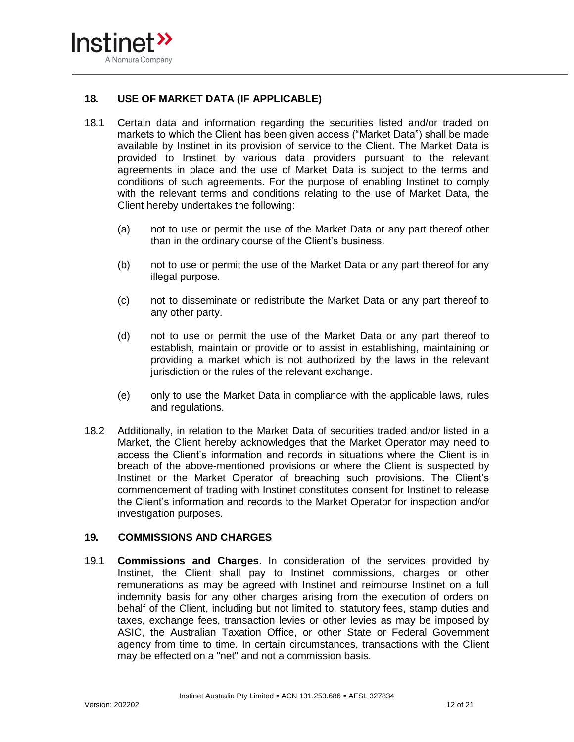

### **18. USE OF MARKET DATA (IF APPLICABLE)**

- 18.1 Certain data and information regarding the securities listed and/or traded on markets to which the Client has been given access ("Market Data") shall be made available by Instinet in its provision of service to the Client. The Market Data is provided to Instinet by various data providers pursuant to the relevant agreements in place and the use of Market Data is subject to the terms and conditions of such agreements. For the purpose of enabling Instinet to comply with the relevant terms and conditions relating to the use of Market Data, the Client hereby undertakes the following:
	- (a) not to use or permit the use of the Market Data or any part thereof other than in the ordinary course of the Client's business.
	- (b) not to use or permit the use of the Market Data or any part thereof for any illegal purpose.
	- (c) not to disseminate or redistribute the Market Data or any part thereof to any other party.
	- (d) not to use or permit the use of the Market Data or any part thereof to establish, maintain or provide or to assist in establishing, maintaining or providing a market which is not authorized by the laws in the relevant jurisdiction or the rules of the relevant exchange.
	- (e) only to use the Market Data in compliance with the applicable laws, rules and regulations.
- 18.2 Additionally, in relation to the Market Data of securities traded and/or listed in a Market, the Client hereby acknowledges that the Market Operator may need to access the Client's information and records in situations where the Client is in breach of the above-mentioned provisions or where the Client is suspected by Instinet or the Market Operator of breaching such provisions. The Client's commencement of trading with Instinet constitutes consent for Instinet to release the Client's information and records to the Market Operator for inspection and/or investigation purposes.

#### **19. COMMISSIONS AND CHARGES**

19.1 **Commissions and Charges**. In consideration of the services provided by Instinet, the Client shall pay to Instinet commissions, charges or other remunerations as may be agreed with Instinet and reimburse Instinet on a full indemnity basis for any other charges arising from the execution of orders on behalf of the Client, including but not limited to, statutory fees, stamp duties and taxes, exchange fees, transaction levies or other levies as may be imposed by ASIC, the Australian Taxation Office, or other State or Federal Government agency from time to time. In certain circumstances, transactions with the Client may be effected on a "net" and not a commission basis.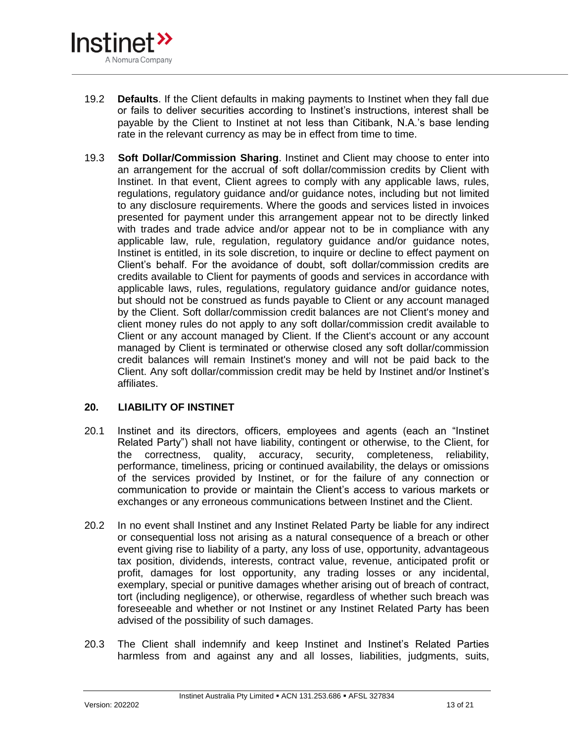

- 19.2 **Defaults**. If the Client defaults in making payments to Instinet when they fall due or fails to deliver securities according to Instinet's instructions, interest shall be payable by the Client to Instinet at not less than Citibank, N.A.'s base lending rate in the relevant currency as may be in effect from time to time.
- 19.3 **Soft Dollar/Commission Sharing**. Instinet and Client may choose to enter into an arrangement for the accrual of soft dollar/commission credits by Client with Instinet. In that event, Client agrees to comply with any applicable laws, rules, regulations, regulatory guidance and/or guidance notes, including but not limited to any disclosure requirements. Where the goods and services listed in invoices presented for payment under this arrangement appear not to be directly linked with trades and trade advice and/or appear not to be in compliance with any applicable law, rule, regulation, regulatory guidance and/or guidance notes, Instinet is entitled, in its sole discretion, to inquire or decline to effect payment on Client's behalf. For the avoidance of doubt, soft dollar/commission credits are credits available to Client for payments of goods and services in accordance with applicable laws, rules, regulations, regulatory guidance and/or guidance notes, but should not be construed as funds payable to Client or any account managed by the Client. Soft dollar/commission credit balances are not Client's money and client money rules do not apply to any soft dollar/commission credit available to Client or any account managed by Client. If the Client's account or any account managed by Client is terminated or otherwise closed any soft dollar/commission credit balances will remain Instinet's money and will not be paid back to the Client. Any soft dollar/commission credit may be held by Instinet and/or Instinet's affiliates.

# <span id="page-12-0"></span>**20. LIABILITY OF INSTINET**

- 20.1 Instinet and its directors, officers, employees and agents (each an "Instinet Related Party") shall not have liability, contingent or otherwise, to the Client, for the correctness, quality, accuracy, security, completeness, reliability, performance, timeliness, pricing or continued availability, the delays or omissions of the services provided by Instinet, or for the failure of any connection or communication to provide or maintain the Client's access to various markets or exchanges or any erroneous communications between Instinet and the Client.
- 20.2 In no event shall Instinet and any Instinet Related Party be liable for any indirect or consequential loss not arising as a natural consequence of a breach or other event giving rise to liability of a party, any loss of use, opportunity, advantageous tax position, dividends, interests, contract value, revenue, anticipated profit or profit, damages for lost opportunity, any trading losses or any incidental, exemplary, special or punitive damages whether arising out of breach of contract, tort (including negligence), or otherwise, regardless of whether such breach was foreseeable and whether or not Instinet or any Instinet Related Party has been advised of the possibility of such damages.
- 20.3 The Client shall indemnify and keep Instinet and Instinet's Related Parties harmless from and against any and all losses, liabilities, judgments, suits,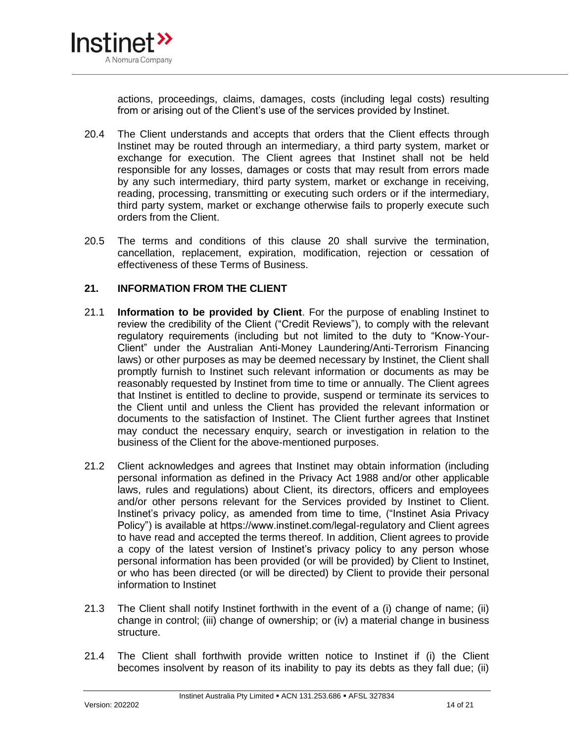

actions, proceedings, claims, damages, costs (including legal costs) resulting from or arising out of the Client's use of the services provided by Instinet.

- 20.4 The Client understands and accepts that orders that the Client effects through Instinet may be routed through an intermediary, a third party system, market or exchange for execution. The Client agrees that Instinet shall not be held responsible for any losses, damages or costs that may result from errors made by any such intermediary, third party system, market or exchange in receiving, reading, processing, transmitting or executing such orders or if the intermediary, third party system, market or exchange otherwise fails to properly execute such orders from the Client.
- 20.5 The terms and conditions of this clause [20](#page-12-0) shall survive the termination, cancellation, replacement, expiration, modification, rejection or cessation of effectiveness of these Terms of Business.

### **21. INFORMATION FROM THE CLIENT**

- 21.1 **Information to be provided by Client**. For the purpose of enabling Instinet to review the credibility of the Client ("Credit Reviews"), to comply with the relevant regulatory requirements (including but not limited to the duty to "Know-Your-Client" under the Australian Anti-Money Laundering/Anti-Terrorism Financing laws) or other purposes as may be deemed necessary by Instinet, the Client shall promptly furnish to Instinet such relevant information or documents as may be reasonably requested by Instinet from time to time or annually. The Client agrees that Instinet is entitled to decline to provide, suspend or terminate its services to the Client until and unless the Client has provided the relevant information or documents to the satisfaction of Instinet. The Client further agrees that Instinet may conduct the necessary enquiry, search or investigation in relation to the business of the Client for the above-mentioned purposes.
- 21.2 Client acknowledges and agrees that Instinet may obtain information (including personal information as defined in the Privacy Act 1988 and/or other applicable laws, rules and regulations) about Client, its directors, officers and employees and/or other persons relevant for the Services provided by Instinet to Client. Instinet's privacy policy, as amended from time to time, ("Instinet Asia Privacy Policy") is available at https://www.instinet.com/legal-regulatory and Client agrees to have read and accepted the terms thereof. In addition, Client agrees to provide a copy of the latest version of Instinet's privacy policy to any person whose personal information has been provided (or will be provided) by Client to Instinet, or who has been directed (or will be directed) by Client to provide their personal information to Instinet
- 21.3 The Client shall notify Instinet forthwith in the event of a (i) change of name; (ii) change in control; (iii) change of ownership; or (iv) a material change in business structure.
- 21.4 The Client shall forthwith provide written notice to Instinet if (i) the Client becomes insolvent by reason of its inability to pay its debts as they fall due; (ii)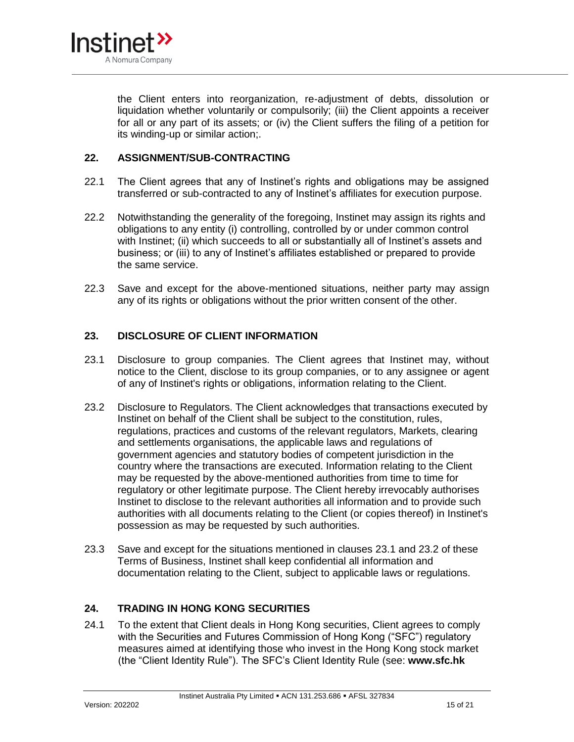

the Client enters into reorganization, re-adjustment of debts, dissolution or liquidation whether voluntarily or compulsorily; (iii) the Client appoints a receiver for all or any part of its assets; or (iv) the Client suffers the filing of a petition for its winding-up or similar action;.

#### **22. ASSIGNMENT/SUB-CONTRACTING**

- 22.1 The Client agrees that any of Instinet's rights and obligations may be assigned transferred or sub-contracted to any of Instinet's affiliates for execution purpose.
- 22.2 Notwithstanding the generality of the foregoing, Instinet may assign its rights and obligations to any entity (i) controlling, controlled by or under common control with Instinet; (ii) which succeeds to all or substantially all of Instinet's assets and business; or (iii) to any of Instinet's affiliates established or prepared to provide the same service.
- 22.3 Save and except for the above-mentioned situations, neither party may assign any of its rights or obligations without the prior written consent of the other.

### **23. DISCLOSURE OF CLIENT INFORMATION**

- <span id="page-14-0"></span>23.1 Disclosure to group companies. The Client agrees that Instinet may, without notice to the Client, disclose to its group companies, or to any assignee or agent of any of Instinet's rights or obligations, information relating to the Client.
- <span id="page-14-1"></span>23.2 Disclosure to Regulators. The Client acknowledges that transactions executed by Instinet on behalf of the Client shall be subject to the constitution, rules, regulations, practices and customs of the relevant regulators, Markets, clearing and settlements organisations, the applicable laws and regulations of government agencies and statutory bodies of competent jurisdiction in the country where the transactions are executed. Information relating to the Client may be requested by the above-mentioned authorities from time to time for regulatory or other legitimate purpose. The Client hereby irrevocably authorises Instinet to disclose to the relevant authorities all information and to provide such authorities with all documents relating to the Client (or copies thereof) in Instinet's possession as may be requested by such authorities.
- 23.3 Save and except for the situations mentioned in clauses [23.1](#page-14-0) and [23.2](#page-14-1) of these Terms of Business, Instinet shall keep confidential all information and documentation relating to the Client, subject to applicable laws or regulations.

# **24. TRADING IN HONG KONG SECURITIES**

24.1 To the extent that Client deals in Hong Kong securities, Client agrees to comply with the Securities and Futures Commission of Hong Kong ("SFC") regulatory measures aimed at identifying those who invest in the Hong Kong stock market (the "Client Identity Rule"). The SFC's Client Identity Rule (see: **www.sfc.hk**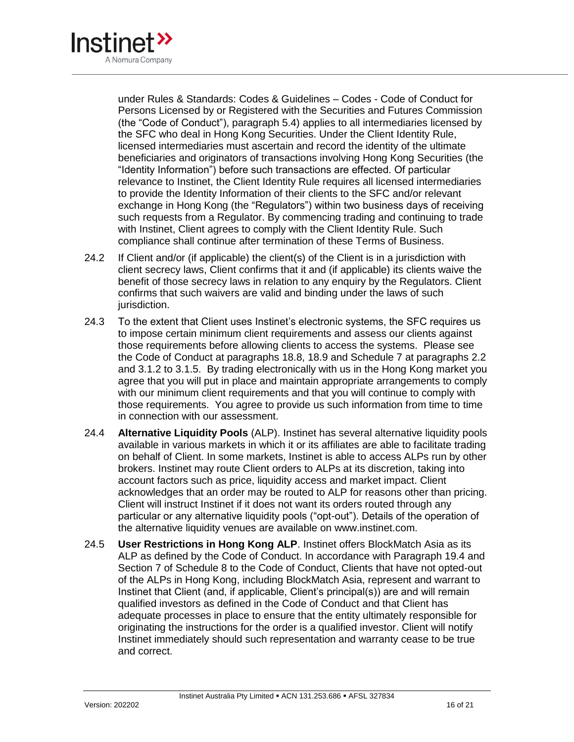

under Rules & Standards: Codes & Guidelines – Codes - Code of Conduct for Persons Licensed by or Registered with the Securities and Futures Commission (the "Code of Conduct"), paragraph 5.4) applies to all intermediaries licensed by the SFC who deal in Hong Kong Securities. Under the Client Identity Rule, licensed intermediaries must ascertain and record the identity of the ultimate beneficiaries and originators of transactions involving Hong Kong Securities (the "Identity Information") before such transactions are effected. Of particular relevance to Instinet, the Client Identity Rule requires all licensed intermediaries to provide the Identity Information of their clients to the SFC and/or relevant exchange in Hong Kong (the "Regulators") within two business days of receiving such requests from a Regulator. By commencing trading and continuing to trade with Instinet, Client agrees to comply with the Client Identity Rule. Such compliance shall continue after termination of these Terms of Business.

- 24.2 If Client and/or (if applicable) the client(s) of the Client is in a jurisdiction with client secrecy laws, Client confirms that it and (if applicable) its clients waive the benefit of those secrecy laws in relation to any enquiry by the Regulators. Client confirms that such waivers are valid and binding under the laws of such jurisdiction.
- 24.3 To the extent that Client uses Instinet's electronic systems, the SFC requires us to impose certain minimum client requirements and assess our clients against those requirements before allowing clients to access the systems. Please see the Code of Conduct at paragraphs 18.8, 18.9 and Schedule 7 at paragraphs 2.2 and 3.1.2 to 3.1.5. By trading electronically with us in the Hong Kong market you agree that you will put in place and maintain appropriate arrangements to comply with our minimum client requirements and that you will continue to comply with those requirements. You agree to provide us such information from time to time in connection with our assessment.
- 24.4 **Alternative Liquidity Pools** (ALP). Instinet has several alternative liquidity pools available in various markets in which it or its affiliates are able to facilitate trading on behalf of Client. In some markets, Instinet is able to access ALPs run by other brokers. Instinet may route Client orders to ALPs at its discretion, taking into account factors such as price, liquidity access and market impact. Client acknowledges that an order may be routed to ALP for reasons other than pricing. Client will instruct Instinet if it does not want its orders routed through any particular or any alternative liquidity pools ("opt-out"). Details of the operation of the alternative liquidity venues are available on www.instinet.com.
- 24.5 **User Restrictions in Hong Kong ALP**. Instinet offers BlockMatch Asia as its ALP as defined by the Code of Conduct. In accordance with Paragraph 19.4 and Section 7 of Schedule 8 to the Code of Conduct, Clients that have not opted-out of the ALPs in Hong Kong, including BlockMatch Asia, represent and warrant to Instinet that Client (and, if applicable, Client's principal(s)) are and will remain qualified investors as defined in the Code of Conduct and that Client has adequate processes in place to ensure that the entity ultimately responsible for originating the instructions for the order is a qualified investor. Client will notify Instinet immediately should such representation and warranty cease to be true and correct.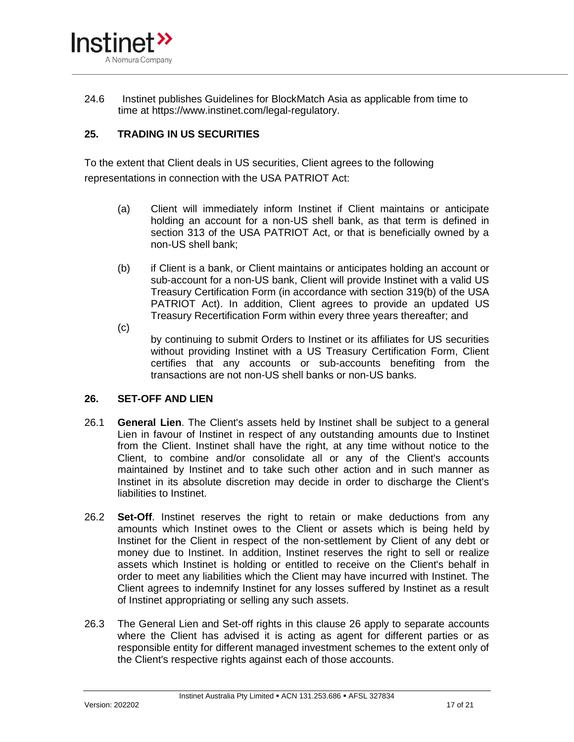

24.6 Instinet publishes Guidelines for BlockMatch Asia as applicable from time to time at https://www.instinet.com/legal-regulatory.

# **25. TRADING IN US SECURITIES**

To the extent that Client deals in US securities, Client agrees to the following representations in connection with the USA PATRIOT Act:

- (a) Client will immediately inform Instinet if Client maintains or anticipate holding an account for a non-US shell bank, as that term is defined in section 313 of the USA PATRIOT Act, or that is beneficially owned by a non-US shell bank;
- (b) if Client is a bank, or Client maintains or anticipates holding an account or sub-account for a non-US bank, Client will provide Instinet with a valid US Treasury Certification Form (in accordance with section 319(b) of the USA PATRIOT Act). In addition, Client agrees to provide an updated US Treasury Recertification Form within every three years thereafter; and
- (c)

by continuing to submit Orders to Instinet or its affiliates for US securities without providing Instinet with a US Treasury Certification Form, Client certifies that any accounts or sub-accounts benefiting from the transactions are not non-US shell banks or non-US banks.

# **26. SET-OFF AND LIEN**

- 26.1 **General Lien**. The Client's assets held by Instinet shall be subject to a general Lien in favour of Instinet in respect of any outstanding amounts due to Instinet from the Client. Instinet shall have the right, at any time without notice to the Client, to combine and/or consolidate all or any of the Client's accounts maintained by Instinet and to take such other action and in such manner as Instinet in its absolute discretion may decide in order to discharge the Client's liabilities to Instinet.
- 26.2 **Set-Off**. Instinet reserves the right to retain or make deductions from any amounts which Instinet owes to the Client or assets which is being held by Instinet for the Client in respect of the non-settlement by Client of any debt or money due to Instinet. In addition, Instinet reserves the right to sell or realize assets which Instinet is holding or entitled to receive on the Client's behalf in order to meet any liabilities which the Client may have incurred with Instinet. The Client agrees to indemnify Instinet for any losses suffered by Instinet as a result of Instinet appropriating or selling any such assets.
- 26.3 The General Lien and Set-off rights in this clause 26 apply to separate accounts where the Client has advised it is acting as agent for different parties or as responsible entity for different managed investment schemes to the extent only of the Client's respective rights against each of those accounts.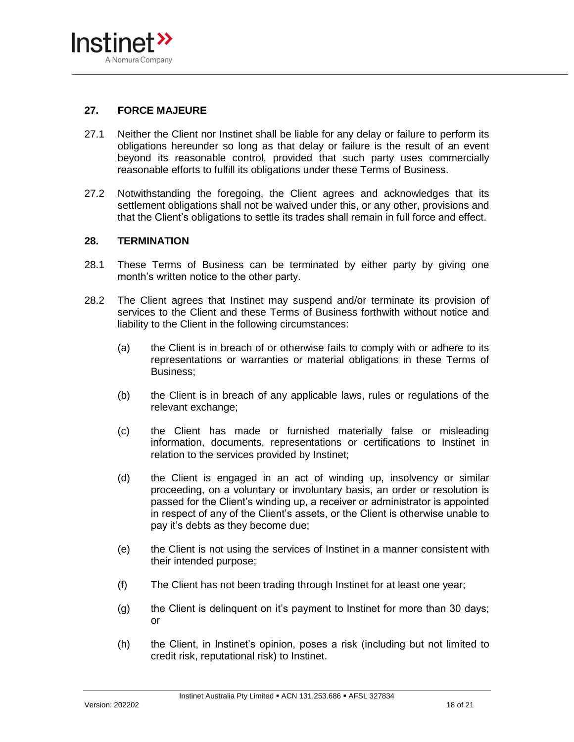

# **27. FORCE MAJEURE**

- 27.1 Neither the Client nor Instinet shall be liable for any delay or failure to perform its obligations hereunder so long as that delay or failure is the result of an event beyond its reasonable control, provided that such party uses commercially reasonable efforts to fulfill its obligations under these Terms of Business.
- 27.2 Notwithstanding the foregoing, the Client agrees and acknowledges that its settlement obligations shall not be waived under this, or any other, provisions and that the Client's obligations to settle its trades shall remain in full force and effect.

#### **28. TERMINATION**

- 28.1 These Terms of Business can be terminated by either party by giving one month's written notice to the other party.
- 28.2 The Client agrees that Instinet may suspend and/or terminate its provision of services to the Client and these Terms of Business forthwith without notice and liability to the Client in the following circumstances:
	- (a) the Client is in breach of or otherwise fails to comply with or adhere to its representations or warranties or material obligations in these Terms of Business;
	- (b) the Client is in breach of any applicable laws, rules or regulations of the relevant exchange;
	- (c) the Client has made or furnished materially false or misleading information, documents, representations or certifications to Instinet in relation to the services provided by Instinet;
	- (d) the Client is engaged in an act of winding up, insolvency or similar proceeding, on a voluntary or involuntary basis, an order or resolution is passed for the Client's winding up, a receiver or administrator is appointed in respect of any of the Client's assets, or the Client is otherwise unable to pay it's debts as they become due;
	- (e) the Client is not using the services of Instinet in a manner consistent with their intended purpose;
	- (f) The Client has not been trading through Instinet for at least one year;
	- (g) the Client is delinquent on it's payment to Instinet for more than 30 days; or
	- (h) the Client, in Instinet's opinion, poses a risk (including but not limited to credit risk, reputational risk) to Instinet.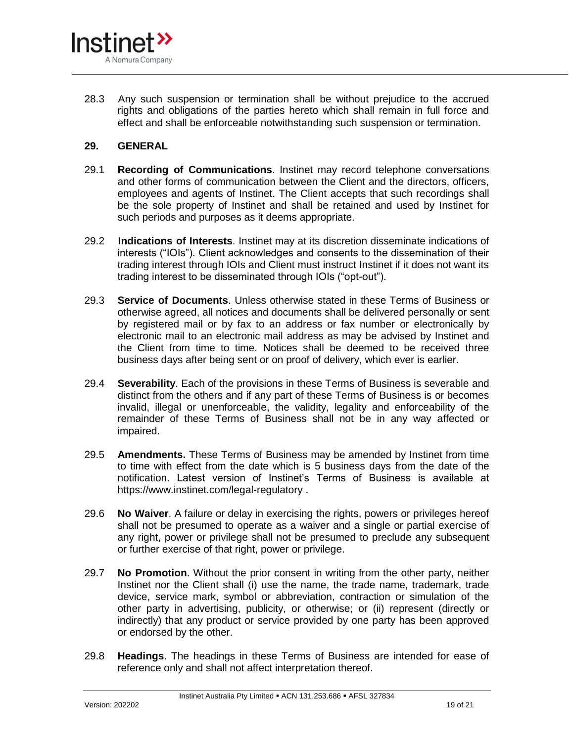

28.3 Any such suspension or termination shall be without prejudice to the accrued rights and obligations of the parties hereto which shall remain in full force and effect and shall be enforceable notwithstanding such suspension or termination.

### **29. GENERAL**

- 29.1 **Recording of Communications**. Instinet may record telephone conversations and other forms of communication between the Client and the directors, officers, employees and agents of Instinet. The Client accepts that such recordings shall be the sole property of Instinet and shall be retained and used by Instinet for such periods and purposes as it deems appropriate.
- 29.2 **Indications of Interests**. Instinet may at its discretion disseminate indications of interests ("IOIs"). Client acknowledges and consents to the dissemination of their trading interest through IOIs and Client must instruct Instinet if it does not want its trading interest to be disseminated through IOIs ("opt-out").
- 29.3 **Service of Documents**. Unless otherwise stated in these Terms of Business or otherwise agreed, all notices and documents shall be delivered personally or sent by registered mail or by fax to an address or fax number or electronically by electronic mail to an electronic mail address as may be advised by Instinet and the Client from time to time. Notices shall be deemed to be received three business days after being sent or on proof of delivery, which ever is earlier.
- 29.4 **Severability**. Each of the provisions in these Terms of Business is severable and distinct from the others and if any part of these Terms of Business is or becomes invalid, illegal or unenforceable, the validity, legality and enforceability of the remainder of these Terms of Business shall not be in any way affected or impaired.
- 29.5 **Amendments.** These Terms of Business may be amended by Instinet from time to time with effect from the date which is 5 business days from the date of the notification. Latest version of Instinet's Terms of Business is available at https://www.instinet.com/legal-regulatory .
- 29.6 **No Waiver**. A failure or delay in exercising the rights, powers or privileges hereof shall not be presumed to operate as a waiver and a single or partial exercise of any right, power or privilege shall not be presumed to preclude any subsequent or further exercise of that right, power or privilege.
- 29.7 **No Promotion**. Without the prior consent in writing from the other party, neither Instinet nor the Client shall (i) use the name, the trade name, trademark, trade device, service mark, symbol or abbreviation, contraction or simulation of the other party in advertising, publicity, or otherwise; or (ii) represent (directly or indirectly) that any product or service provided by one party has been approved or endorsed by the other.
- 29.8 **Headings**. The headings in these Terms of Business are intended for ease of reference only and shall not affect interpretation thereof.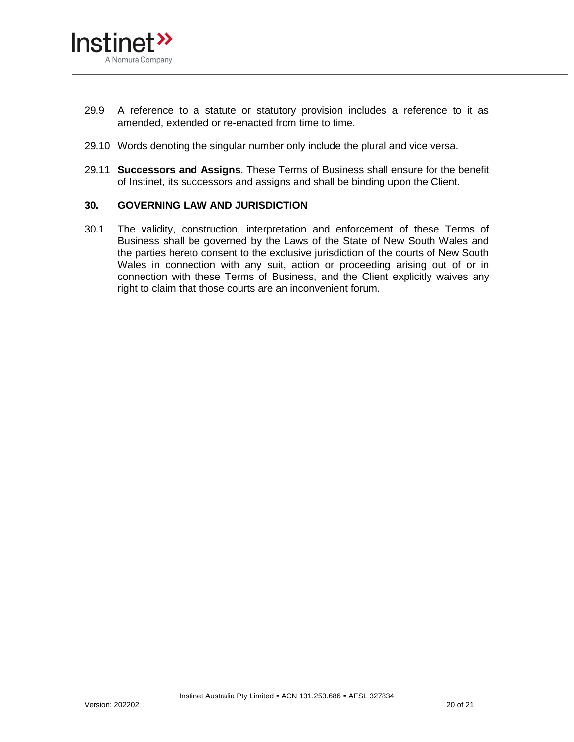

- 29.9 A reference to a statute or statutory provision includes a reference to it as amended, extended or re-enacted from time to time.
- 29.10 Words denoting the singular number only include the plural and vice versa.
- 29.11 **Successors and Assigns**. These Terms of Business shall ensure for the benefit of Instinet, its successors and assigns and shall be binding upon the Client.

#### **30. GOVERNING LAW AND JURISDICTION**

30.1 The validity, construction, interpretation and enforcement of these Terms of Business shall be governed by the Laws of the State of New South Wales and the parties hereto consent to the exclusive jurisdiction of the courts of New South Wales in connection with any suit, action or proceeding arising out of or in connection with these Terms of Business, and the Client explicitly waives any right to claim that those courts are an inconvenient forum.